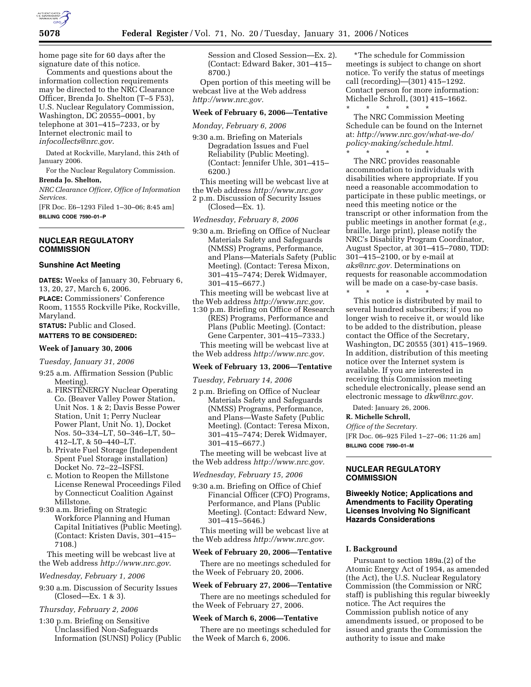

home page site for 60 days after the signature date of this notice.

Comments and questions about the information collection requirements may be directed to the NRC Clearance Officer, Brenda Jo. Shelton (T–5 F53), U.S. Nuclear Regulatory Commission, Washington, DC 20555–0001, by telephone at 301–415–7233, or by Internet electronic mail to *infocollects@nrc.gov*.

Dated at Rockville, Maryland, this 24th of January 2006.

For the Nuclear Regulatory Commission. **Brenda Jo. Shelton,** 

*NRC Clearance Officer, Office of Information Services.* 

[FR Doc. E6–1293 Filed 1–30–06; 8:45 am] **BILLING CODE 7590–01–P** 

# **NUCLEAR REGULATORY COMMISSION**

#### **Sunshine Act Meeting**

**DATES:** Weeks of January 30, February 6, 13, 20, 27, March 6, 2006. **PLACE:** Commissioners' Conference Room, 11555 Rockville Pike, Rockville, Maryland.

**STATUS:** Public and Closed.

# **MATTERS TO BE CONSIDERED:**

# **Week of January 30, 2006**

*Tuesday, January 31, 2006* 

- 9:25 a.m. Affirmation Session (Public Meeting).
	- a. FIRSTENERGY Nuclear Operating Co. (Beaver Valley Power Station, Unit Nos. 1 & 2; Davis Besse Power Station, Unit 1; Perry Nuclear Power Plant, Unit No. 1), Docket Nos. 50–334–LT, 50–346–LT, 50– 412–LT, & 50–440–LT.
	- b. Private Fuel Storage (Independent Spent Fuel Storage installation) Docket No. 72–22–ISFSI.
	- c. Motion to Reopen the Millstone License Renewal Proceedings Filed by Connecticut Coalition Against Millstone.
- 9:30 a.m. Briefing on Strategic Workforce Planning and Human Capital Initiatives (Public Meeting). (Contact: Kristen Davis, 301–415– 7108.)

This meeting will be webcast live at the Web address *http://www.nrc.gov*.

#### *Wednesday, February 1, 2006*

9:30 a.m. Discussion of Security Issues (Closed—Ex. 1 & 3).

# *Thursday, February 2, 2006*

1:30 p.m. Briefing on Sensitive Unclassified Non-Safeguards Information (SUNSI) Policy (Public Session and Closed Session—Ex. 2). (Contact: Edward Baker, 301–415– 8700.)

Open portion of this meeting will be webcast live at the Web address *http://www.nrc.gov.* 

# **Week of February 6, 2006—Tentative**

*Monday, February 6, 2006* 

- 9:30 a.m. Briefing on Materials Degradation Issues and Fuel Reliability (Public Meeting). (Contact: Jennifer Uhle, 301–415– 6200.)
- This meeting will be webcast live at the Web address *http://www.nrc.gov*
- 2 p.m. Discussion of Security Issues
- (Closed—Ex. 1).

#### *Wednesday, February 8, 2006*

- 9:30 a.m. Briefing on Office of Nuclear Materials Safety and Safeguards (NMSS) Programs, Performance, and Plans—Materials Safety (Public Meeting). (Contact: Teresa Mixon, 301–415–7474; Derek Widmayer, 301–415–6677.)
- This meeting will be webcast live at the Web address *http://www.nrc.gov*.
- 1:30 p.m. Briefing on Office of Research (RES) Programs, Performance and Plans (Public Meeting). (Contact: Gene Carpenter, 301–415–7333.) This meeting will be webcast live at

the Web address *http://www.nrc.gov*.

### **Week of February 13, 2006—Tentative**

*Tuesday, February 14, 2006* 

2 p.m. Briefing on Office of Nuclear Materials Safety and Safeguards (NMSS) Programs, Performance, and Plans—Waste Safety (Public Meeting). (Contact: Teresa Mixon, 301–415–7474; Derek Widmayer, 301–415–6677.)

The meeting will be webcast live at the Web address *http://www.nrc.gov.* 

*Wednesday, February 15, 2006* 

9:30 a.m. Briefing on Office of Chief Financial Officer (CFO) Programs, Performance, and Plans (Public Meeting). (Contact: Edward New, 301–415–5646.)

This meeting will be webcast live at the Web address *http://www.nrc.gov.* 

# **Week of February 20, 2006—Tentative**

There are no meetings scheduled for the Week of February 20, 2006.

# **Week of February 27, 2006—Tentative**

There are no meetings scheduled for

# **Week of March 6, 2006—Tentative**

the Week of February 27, 2006.

There are no meetings scheduled for the Week of March 6, 2006.

\*The schedule for Commission meetings is subject to change on short notice. To verify the status of meetings call (recording)—(301) 415–1292. Contact person for more information: Michelle Schroll, (301) 415–1662.

\* \* \* \* \* The NRC Commission Meeting Schedule can be found on the Internet at: *http://www.nrc.gov/what-we-do/ policy-making/schedule.html.*   $\overline{\phantom{a}}$  \* \* \*

The NRC provides reasonable accommodation to individuals with disabilities where appropriate. If you need a reasonable accommodation to participate in these public meetings, or need this meeting notice or the transcript or other information from the public meetings in another format (*e.g.,*  braille, large print), please notify the NRC's Disability Program Coordinator, August Spector, at 301–415–7080, TDD: 301–415–2100, or by e-mail at *aks@nrc.gov.* Determinations on requests for reasonable accommodation will be made on a case-by-case basis.

\* \* \* \* \* This notice is distributed by mail to several hundred subscribers; if you no longer wish to receive it, or would like to be added to the distribution, please contact the Office of the Secretary, Washington, DC 20555 (301) 415–1969. In addition, distribution of this meeting notice over the Internet system is available. If you are interested in receiving this Commission meeting schedule electronically, please send an electronic message to *dkw@nrc.gov.* 

Dated: January 26, 2006.

### **R. Michelle Schroll,**

*Office of the Secretary.* 

[FR Doc. 06–925 Filed 1–27–06; 11:26 am] **BILLING CODE 7590–01–M** 

# **NUCLEAR REGULATORY COMMISSION**

# **Biweekly Notice; Applications and Amendments to Facility Operating Licenses Involving No Significant Hazards Considerations**

### **I. Background**

Pursuant to section 189a.(2) of the Atomic Energy Act of 1954, as amended (the Act), the U.S. Nuclear Regulatory Commission (the Commission or NRC staff) is publishing this regular biweekly notice. The Act requires the Commission publish notice of any amendments issued, or proposed to be issued and grants the Commission the authority to issue and make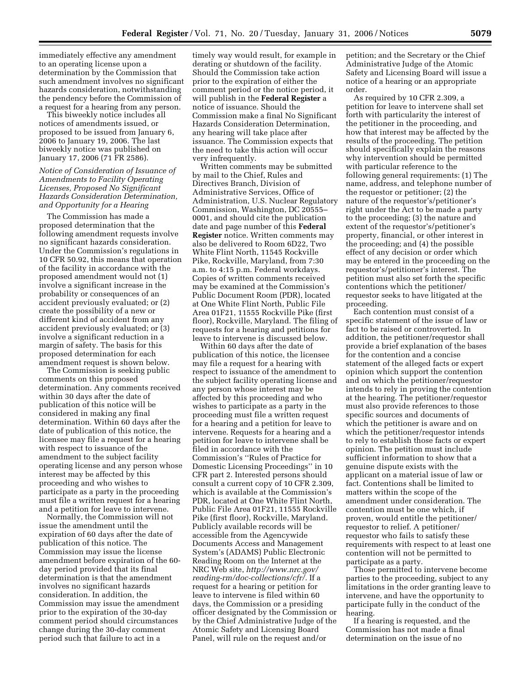immediately effective any amendment to an operating license upon a determination by the Commission that such amendment involves no significant hazards consideration, notwithstanding the pendency before the Commission of a request for a hearing from any person.

This biweekly notice includes all notices of amendments issued, or proposed to be issued from January 6, 2006 to January 19, 2006. The last biweekly notice was published on January 17, 2006 (71 FR 2586).

## *Notice of Consideration of Issuance of Amendments to Facility Operating Licenses, Proposed No Significant Hazards Consideration Determination, and Opportunity for a Hearing*

The Commission has made a proposed determination that the following amendment requests involve no significant hazards consideration. Under the Commission's regulations in 10 CFR 50.92, this means that operation of the facility in accordance with the proposed amendment would not (1) involve a significant increase in the probability or consequences of an accident previously evaluated; or (2) create the possibility of a new or different kind of accident from any accident previously evaluated; or (3) involve a significant reduction in a margin of safety. The basis for this proposed determination for each amendment request is shown below.

The Commission is seeking public comments on this proposed determination. Any comments received within 30 days after the date of publication of this notice will be considered in making any final determination. Within 60 days after the date of publication of this notice, the licensee may file a request for a hearing with respect to issuance of the amendment to the subject facility operating license and any person whose interest may be affected by this proceeding and who wishes to participate as a party in the proceeding must file a written request for a hearing and a petition for leave to intervene.

Normally, the Commission will not issue the amendment until the expiration of 60 days after the date of publication of this notice. The Commission may issue the license amendment before expiration of the 60 day period provided that its final determination is that the amendment involves no significant hazards consideration. In addition, the Commission may issue the amendment prior to the expiration of the 30-day comment period should circumstances change during the 30-day comment period such that failure to act in a

timely way would result, for example in derating or shutdown of the facility. Should the Commission take action prior to the expiration of either the comment period or the notice period, it will publish in the **Federal Register** a notice of issuance. Should the Commission make a final No Significant Hazards Consideration Determination, any hearing will take place after issuance. The Commission expects that the need to take this action will occur very infrequently.

Written comments may be submitted by mail to the Chief, Rules and Directives Branch, Division of Administrative Services, Office of Administration, U.S. Nuclear Regulatory Commission, Washington, DC 20555– 0001, and should cite the publication date and page number of this **Federal Register** notice. Written comments may also be delivered to Room 6D22, Two White Flint North, 11545 Rockville Pike, Rockville, Maryland, from 7:30 a.m. to 4:15 p.m. Federal workdays. Copies of written comments received may be examined at the Commission's Public Document Room (PDR), located at One White Flint North, Public File Area 01F21, 11555 Rockville Pike (first floor), Rockville, Maryland. The filing of requests for a hearing and petitions for leave to intervene is discussed below.

Within 60 days after the date of publication of this notice, the licensee may file a request for a hearing with respect to issuance of the amendment to the subject facility operating license and any person whose interest may be affected by this proceeding and who wishes to participate as a party in the proceeding must file a written request for a hearing and a petition for leave to intervene. Requests for a hearing and a petition for leave to intervene shall be filed in accordance with the Commission's ''Rules of Practice for Domestic Licensing Proceedings'' in 10 CFR part 2. Interested persons should consult a current copy of 10 CFR 2.309, which is available at the Commission's PDR, located at One White Flint North, Public File Area 01F21, 11555 Rockville Pike (first floor), Rockville, Maryland. Publicly available records will be accessible from the Agencywide Documents Access and Management System's (ADAMS) Public Electronic Reading Room on the Internet at the NRC Web site, *http://www.nrc.gov/ reading-rm/doc-collections/cfr/.* If a request for a hearing or petition for leave to intervene is filed within 60 days, the Commission or a presiding officer designated by the Commission or by the Chief Administrative Judge of the Atomic Safety and Licensing Board Panel, will rule on the request and/or

petition; and the Secretary or the Chief Administrative Judge of the Atomic Safety and Licensing Board will issue a notice of a hearing or an appropriate order.

As required by 10 CFR 2.309, a petition for leave to intervene shall set forth with particularity the interest of the petitioner in the proceeding, and how that interest may be affected by the results of the proceeding. The petition should specifically explain the reasons why intervention should be permitted with particular reference to the following general requirements: (1) The name, address, and telephone number of the requestor or petitioner; (2) the nature of the requestor's/petitioner's right under the Act to be made a party to the proceeding; (3) the nature and extent of the requestor's/petitioner's property, financial, or other interest in the proceeding; and (4) the possible effect of any decision or order which may be entered in the proceeding on the requestor's/petitioner's interest. The petition must also set forth the specific contentions which the petitioner/ requestor seeks to have litigated at the proceeding.

Each contention must consist of a specific statement of the issue of law or fact to be raised or controverted. In addition, the petitioner/requestor shall provide a brief explanation of the bases for the contention and a concise statement of the alleged facts or expert opinion which support the contention and on which the petitioner/requestor intends to rely in proving the contention at the hearing. The petitioner/requestor must also provide references to those specific sources and documents of which the petitioner is aware and on which the petitioner/requestor intends to rely to establish those facts or expert opinion. The petition must include sufficient information to show that a genuine dispute exists with the applicant on a material issue of law or fact. Contentions shall be limited to matters within the scope of the amendment under consideration. The contention must be one which, if proven, would entitle the petitioner/ requestor to relief. A petitioner/ requestor who fails to satisfy these requirements with respect to at least one contention will not be permitted to participate as a party.

Those permitted to intervene become parties to the proceeding, subject to any limitations in the order granting leave to intervene, and have the opportunity to participate fully in the conduct of the hearing.

If a hearing is requested, and the Commission has not made a final determination on the issue of no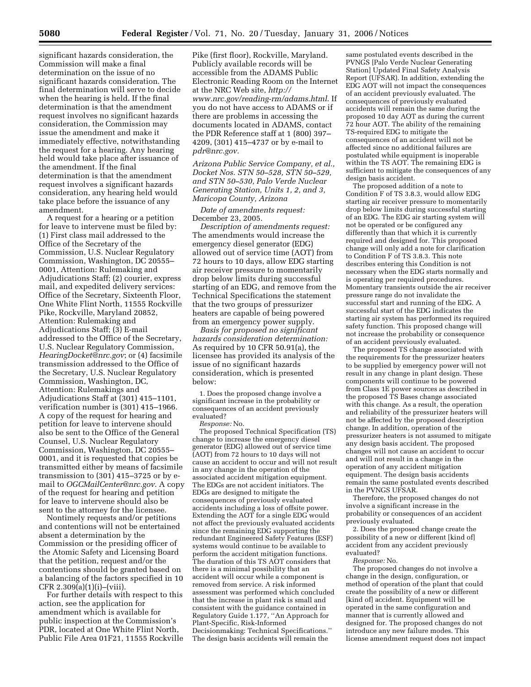significant hazards consideration, the Commission will make a final determination on the issue of no significant hazards consideration. The final determination will serve to decide when the hearing is held. If the final determination is that the amendment request involves no significant hazards consideration, the Commission may issue the amendment and make it immediately effective, notwithstanding the request for a hearing. Any hearing held would take place after issuance of the amendment. If the final determination is that the amendment request involves a significant hazards consideration, any hearing held would take place before the issuance of any amendment.

A request for a hearing or a petition for leave to intervene must be filed by: (1) First class mail addressed to the Office of the Secretary of the Commission, U.S. Nuclear Regulatory Commission, Washington, DC 20555– 0001, Attention: Rulemaking and Adjudications Staff; (2) courier, express mail, and expedited delivery services: Office of the Secretary, Sixteenth Floor, One White Flint North, 11555 Rockville Pike, Rockville, Maryland 20852, Attention: Rulemaking and Adjudications Staff; (3) E-mail addressed to the Office of the Secretary, U.S. Nuclear Regulatory Commission, *HearingDocket@nrc.gov*; or (4) facsimile transmission addressed to the Office of the Secretary, U.S. Nuclear Regulatory Commission, Washington, DC, Attention: Rulemakings and Adjudications Staff at (301) 415–1101, verification number is (301) 415–1966. A copy of the request for hearing and petition for leave to intervene should also be sent to the Office of the General Counsel, U.S. Nuclear Regulatory Commission, Washington, DC 20555– 0001, and it is requested that copies be transmitted either by means of facsimile transmission to (301) 415–3725 or by email to *OGCMailCenter@nrc.gov*. A copy of the request for hearing and petition for leave to intervene should also be sent to the attorney for the licensee.

Nontimely requests and/or petitions and contentions will not be entertained absent a determination by the Commission or the presiding officer of the Atomic Safety and Licensing Board that the petition, request and/or the contentions should be granted based on a balancing of the factors specified in 10 CFR  $2.309(a)(1)(i)$ –(viii).

For further details with respect to this action, see the application for amendment which is available for public inspection at the Commission's PDR, located at One White Flint North, Public File Area 01F21, 11555 Rockville

Pike (first floor), Rockville, Maryland. Publicly available records will be accessible from the ADAMS Public Electronic Reading Room on the Internet at the NRC Web site, *http:// www.nrc.gov/reading-rm/adams.html*. If you do not have access to ADAMS or if there are problems in accessing the documents located in ADAMS, contact the PDR Reference staff at 1 (800) 397– 4209, (301) 415–4737 or by e-mail to *pdr@nrc.gov.* 

*Arizona Public Service Company, et al., Docket Nos. STN 50–528, STN 50–529, and STN 50–530, Palo Verde Nuclear Generating Station, Units 1, 2, and 3, Maricopa County, Arizona* 

*Date of amendments request:*  December 23, 2005.

*Description of amendments request:*  The amendments would increase the emergency diesel generator (EDG) allowed out of service time (AOT) from 72 hours to 10 days, allow EDG starting air receiver pressure to momentarily drop below limits during successful starting of an EDG, and remove from the Technical Specifications the statement that the two groups of pressurizer heaters are capable of being powered from an emergency power supply.

*Basis for proposed no significant hazards consideration determination:*  As required by 10 CFR 50.91(a), the licensee has provided its analysis of the issue of no significant hazards consideration, which is presented below:

1. Does the proposed change involve a significant increase in the probability or consequences of an accident previously evaluated?

*Response:* No.

The proposed Technical Specification (TS) change to increase the emergency diesel generator (EDG) allowed out of service time (AOT) from 72 hours to 10 days will not cause an accident to occur and will not result in any change in the operation of the associated accident mitigation equipment. The EDGs are not accident initiators. The EDGs are designed to mitigate the consequences of previously evaluated accidents including a loss of offsite power. Extending the AOT for a single EDG would not affect the previously evaluated accidents since the remaining EDG supporting the redundant Engineered Safety Features (ESF) systems would continue to be available to perform the accident mitigation functions. The duration of this TS AOT considers that there is a minimal possibility that an accident will occur while a component is removed from service. A risk informed assessment was performed which concluded that the increase in plant risk is small and consistent with the guidance contained in Regulatory Guide 1.177, ''An Approach for Plant-Specific, Risk-Informed Decisionmaking: Technical Specifications.'' The design basis accidents will remain the

same postulated events described in the PVNGS [Palo Verde Nuclear Generating Station] Updated Final Safety Analysis Report (UFSAR). In addition, extending the EDG AOT will not impact the consequences of an accident previously evaluated. The consequences of previously evaluated accidents will remain the same during the proposed 10 day AOT as during the current 72 hour AOT. The ability of the remaining TS-required EDG to mitigate the consequences of an accident will not be affected since no additional failures are postulated while equipment is inoperable within the TS AOT. The remaining EDG is sufficient to mitigate the consequences of any design basis accident.

The proposed addition of a note to Condition F of TS 3.8.3, would allow EDG starting air receiver pressure to momentarily drop below limits during successful starting of an EDG. The EDG air starting system will not be operated or be configured any differently than that which it is currently required and designed for. This proposed change will only add a note for clarification to Condition F of TS 3.8.3. This note describes entering this Condition is not necessary when the EDG starts normally and is operating per required procedures. Momentary transients outside the air receiver pressure range do not invalidate the successful start and running of the EDG. A successful start of the EDG indicates the starting air system has performed its required safety function. This proposed change will not increase the probability or consequence of an accident previously evaluated.

The proposed TS change associated with the requirements for the pressurizer heaters to be supplied by emergency power will not result in any change in plant design. These components will continue to be powered from Class 1E power sources as described in the proposed TS Bases change associated with this change. As a result, the operation and reliability of the pressurizer heaters will not be affected by the proposed description change. In addition, operation of the pressurizer heaters is not assumed to mitigate any design basis accident. The proposed changes will not cause an accident to occur and will not result in a change in the operation of any accident mitigation equipment. The design basis accidents remain the same postulated events described in the PVNGS UFSAR.

Therefore, the proposed changes do not involve a significant increase in the probability or consequences of an accident previously evaluated.

2. Does the proposed change create the possibility of a new or different [kind of] accident from any accident previously evaluated?

*Response:* No.

The proposed changes do not involve a change in the design, configuration, or method of operation of the plant that could create the possibility of a new or different [kind of] accident. Equipment will be operated in the same configuration and manner that is currently allowed and designed for. The proposed changes do not introduce any new failure modes. This license amendment request does not impact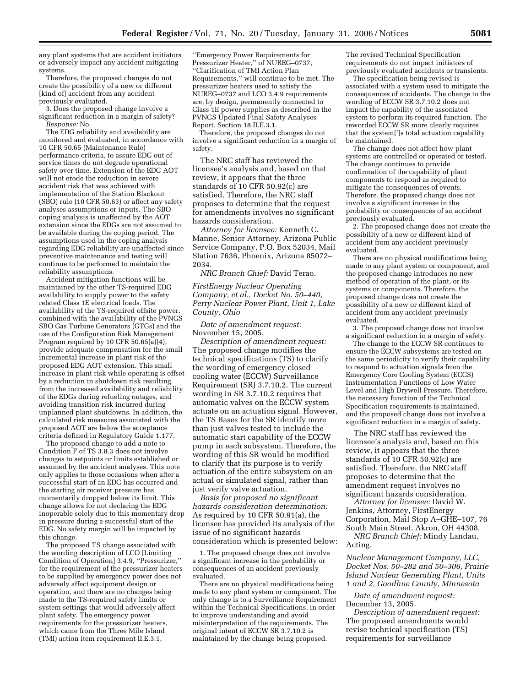any plant systems that are accident initiators or adversely impact any accident mitigating systems.

Therefore, the proposed changes do not create the possibility of a new or different [kind of] accident from any accident previously evaluated.

3. Does the proposed change involve a significant reduction in a margin of safety? *Response:* No.

The EDG reliability and availability are monitored and evaluated, in accordance with 10 CFR 50.65 (Maintenance Rule) performance criteria, to assure EDG out of service times do not degrade operational safety over time. Extension of the EDG AOT will not erode the reduction in severe accident risk that was achieved with implementation of the Station Blackout (SBO) rule (10 CFR 50.63) or affect any safety analyses assumptions or inputs. The SBO coping analysis is unaffected by the AOT extension since the EDGs are not assumed to be available during the coping period. The assumptions used in the coping analysis regarding EDG reliability are unaffected since preventive maintenance and testing will continue to be performed to maintain the reliability assumptions.

Accident mitigation functions will be maintained by the other TS-required EDG availability to supply power to the safety related Class 1E electrical loads. The availability of the TS-required offsite power, combined with the availability of the PVNGS SBO Gas Turbine Generators (GTGs) and the use of the Configuration Risk Management Program required by 10 CFR 50.65(a)(4), provide adequate compensation for the small incremental increase in plant risk of the proposed EDG AOT extension. This small increase in plant risk while operating is offset by a reduction in shutdown risk resulting from the increased availability and reliability of the EDGs during refueling outages, and avoiding transition risk incurred during unplanned plant shutdowns. In addition, the calculated risk measures associated with the proposed AOT are below the acceptance criteria defined in Regulatory Guide 1.177.

The proposed change to add a note to Condition F of TS 3.8.3 does not involve changes to setpoints or limits established or assumed by the accident analyses. This note only applies to those occasions when after a successful start of an EDG has occurred and the starting air receiver pressure has momentarily dropped below its limit. This change allows for not declaring the EDG inoperable solely due to this momentary drop in pressure during a successful start of the EDG. No safety margin will be impacted by this change.

The proposed TS change associated with the wording description of LCO [Limiting Condition of Operation] 3.4.9, ''Pressurizer,'' for the requirement of the pressurizer heaters to be supplied by emergency power does not adversely affect equipment design or operation, and there are no changes being made to the TS-required safety limits or system settings that would adversely affect plant safety. The emergency power requirements for the pressurizer heaters, which came from the Three Mile Island (TMI) action item requirement II.E.3.1,

''Emergency Power Requirements for Pressurizer Heater," of NUREG-0737, ''Clarification of TMI Action Plan Requirements,'' will continue to be met. The pressurizer heaters used to satisfy the NUREG–0737 and LCO 3.4.9 requirements are, by design, permanently connected to Class 1E power supplies as described in the PVNGS Updated Final Safety Analyses Report, Section 18.II.E.3.1.

Therefore, the proposed changes do not involve a significant reduction in a margin of safety.

The NRC staff has reviewed the licensee's analysis and, based on that review, it appears that the three standards of 10 CFR 50.92(c) are satisfied. Therefore, the NRC staff proposes to determine that the request for amendments involves no significant hazards consideration.

*Attorney for licensee:* Kenneth C. Manne, Senior Attorney, Arizona Public Service Company, P.O. Box 52034, Mail Station 7636, Phoenix, Arizona 85072– 2034.

*NRC Branch Chief:* David Terao.

*FirstEnergy Nuclear Operating Company, et al., Docket No. 50–440, Perry Nuclear Power Plant, Unit 1, Lake County, Ohio* 

*Date of amendment request:*  November 15, 2005.

*Description of amendment request:*  The proposed change modifies the technical specifications (TS) to clarify the wording of emergency closed cooling water (ECCW) Surveillance Requirement (SR) 3.7.10.2. The current wording in SR 3.7.10.2 requires that automatic valves on the ECCW system actuate on an actuation signal. However, the TS Bases for the SR identify more than just valves tested to include the automatic start capability of the ECCW pump in each subsystem. Therefore, the wording of this SR would be modified to clarify that its purpose is to verify actuation of the entire subsystem on an actual or simulated signal, rather than just verify valve actuation.

*Basis for proposed no significant hazards consideration determination:*  As required by 10 CFR 50.91(a), the licensee has provided its analysis of the issue of no significant hazards consideration which is presented below:

1. The proposed change does not involve a significant increase in the probability or consequences of an accident previously evaluated.

There are no physical modifications being made to any plant system or component. The only change is to a Surveillance Requirement within the Technical Specifications, in order to improve understanding and avoid misinterpretation of the requirements. The original intent of ECCW SR 3.7.10.2 is maintained by the change being proposed.

The revised Technical Specification requirements do not impact initiators of previously evaluated accidents or transients.

The specification being revised is associated with a system used to mitigate the consequences of accidents. The change to the wording of ECCW SR 3.7.10.2 does not impact the capability of the associated system to perform its required function. The reworded ECCW SR more clearly requires that the system[']s total actuation capability be maintained.

The change does not affect how plant systems are controlled or operated or tested. The change continues to provide confirmation of the capability of plant components to respond as required to mitigate the consequences of events. Therefore, the proposed change does not involve a significant increase in the probability or consequences of an accident previously evaluated.

2. The proposed change does not create the possibility of a new or different kind of accident from any accident previously evaluated.

There are no physical modifications being made to any plant system or component, and the proposed change introduces no new method of operation of the plant, or its systems or components. Therefore, the proposed change does not create the possibility of a new or different kind of accident from any accident previously evaluated.

3. The proposed change does not involve a significant reduction in a margin of safety.

The change to the ECCW SR continues to ensure the ECCW subsystems are tested on the same periodicity to verify their capability to respond to actuation signals from the Emergency Core Cooling System (ECCS) Instrumentation Functions of Low Water Level and High Drywell Pressure. Therefore, the necessary function of the Technical Specification requirements is maintained, and the proposed change does not involve a significant reduction in a margin of safety.

The NRC staff has reviewed the licensee's analysis and, based on this review, it appears that the three standards of 10 CFR 50.92(c) are satisfied. Therefore, the NRC staff proposes to determine that the amendment request involves no significant hazards consideration.

*Attorney for licensee:* David W. Jenkins, Attorney, FirstEnergy Corporation, Mail Stop A–GHE–107, 76 South Main Street, Akron, OH 44308.

*NRC Branch Chief:* Mindy Landau, Acting.

*Nuclear Management Company, LLC, Docket Nos. 50–282 and 50–306, Prairie Island Nuclear Generating Plant, Units 1 and 2, Goodhue County, Minnesota* 

*Date of amendment request:*  December 13, 2005.

*Description of amendment request:*  The proposed amendments would revise technical specification (TS) requirements for surveillance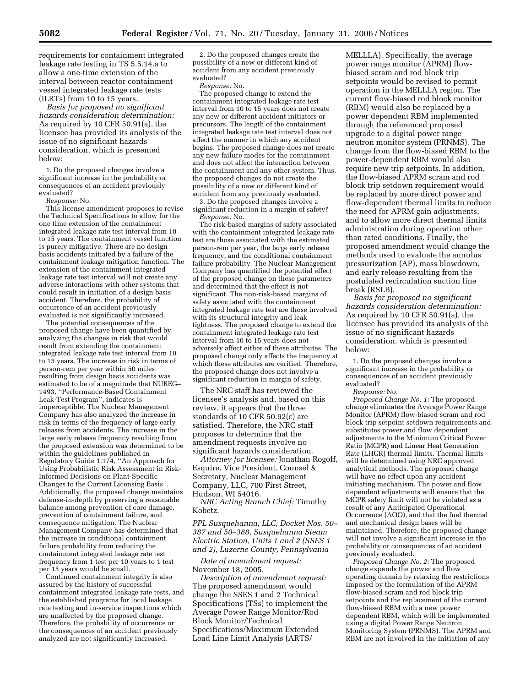requirements for containment integrated leakage rate testing in TS 5.5.14.a to allow a one-time extension of the interval between reactor containment vessel integrated leakage rate tests (ILRTs) from 10 to 15 years.

*Basis for proposed no significant hazards consideration determination:*  As required by 10 CFR 50.91(a), the licensee has provided its analysis of the issue of no significant hazards consideration, which is presented below:

1. Do the proposed changes involve a significant increase in the probability or consequences of an accident previously evaluated?

*Response:* No.

This license amendment proposes to revise the Technical Specifications to allow for the one time extension of the containment integrated leakage rate test interval from 10 to 15 years. The containment vessel function is purely mitigative. There are no design basis accidents initiated by a failure of the containment leakage mitigation function. The extension of the containment integrated leakage rate test interval will not create any adverse interactions with other systems that could result in initiation of a design basis accident. Therefore, the probability of occurrence of an accident previously evaluated is not significantly increased.

The potential consequences of the proposed change have been quantified by analyzing the changes in risk that would result from extending the containment integrated leakage rate test interval from 10 to 15 years. The increase in risk in terms of person-rem per year within 50 miles resulting from design basis accidents was estimated to be of a magnitude that NUREG– 1493, ''Performance-Based Containment Leak-Test Program'', indicates is imperceptible. The Nuclear Management Company has also analyzed the increase in risk in terms of the frequency of large early releases from accidents. The increase in the large early release frequency resulting from the proposed extension was determined to be within the guidelines published in Regulatory Guide 1.174, ''An Approach for Using Probabilistic Risk Assessment in Risk-Informed Decisions on Plant-Specific Changes to the Current Licensing Basis''. Additionally, the proposed change maintains defense-in-depth by preserving a reasonable balance among prevention of core damage, prevention of containment failure, and consequence mitigation. The Nuclear Management Company has determined that the increase in conditional containment failure probability from reducing the containment integrated leakage rate test frequency from 1 test per 10 years to 1 test per 15 years would be small.

Continued containment integrity is also assured by the history of successful containment integrated leakage rate tests, and the established programs for local leakage rate testing and in-service inspections which are unaffected by the proposed change. Therefore, the probability of occurrence or the consequences of an accident previously analyzed are not significantly increased.

2. Do the proposed changes create the possibility of a new or different kind of accident from any accident previously evaluated?

*Response:* No.

The proposed change to extend the containment integrated leakage rate test interval from 10 to 15 years does not create any new or different accident initiators or precursors. The length of the containment integrated leakage rate test interval does not affect the manner in which any accident begins. The proposed change does not create any new failure modes for the containment and does not affect the interaction between the containment and any other system. Thus, the proposed changes do not create the possibility of a new or different kind of accident from any previously evaluated.

3. Do the proposed changes involve a significant reduction in a margin of safety? *Response:* No.

The risk-based margins of safety associated with the containment integrated leakage rate test are those associated with the estimated person-rem per year, the large early release frequency, and the conditional containment failure probability. The Nuclear Management Company has quantified the potential effect of the proposed change on these parameters and determined that the effect is not significant. The non-risk-based margins of safety associated with the containment integrated leakage rate test are those involved with its structural integrity and leak tightness. The proposed change to extend the containment integrated leakage rate test interval from 10 to 15 years does not adversely affect either of these attributes. The proposed change only affects the frequency at which these attributes are verified. Therefore, the proposed change does not involve a significant reduction in margin of safety.

The NRC staff has reviewed the licensee's analysis and, based on this review, it appears that the three standards of 10 CFR 50.92(c) are satisfied. Therefore, the NRC staff proposes to determine that the amendment requests involve no significant hazards consideration.

*Attorney for licensee:* Jonathan Rogoff, Esquire, Vice President, Counsel & Secretary, Nuclear Management Company, LLC, 700 First Street, Hudson, WI 54016.

*NRC Acting Branch Chief:* Timothy Kobetz.

*PPL Susquehanna, LLC, Docket Nos. 50– 387 and 50–388, Susquehanna Steam Electric Station, Units 1 and 2 (SSES 1 and 2), Luzerne County, Pennsylvania* 

*Date of amendment request:*  November 18, 2005.

*Description of amendment request:*  The proposed amendment would change the SSES 1 and 2 Technical Specifications (TSs) to implement the Average Power Range Monitor/Rod Block Monitor/Technical Specifications/Maximum Extended Load Line Limit Analysis (ARTS/

MELLLA). Specifically, the average power range monitor (APRM) flowbiased scram and rod block trip setpoints would be revised to permit operation in the MELLLA region. The current flow-biased rod block monitor (RBM) would also be replaced by a power dependent RBM implemented through the referenced proposed upgrade to a digital power range neutron monitor system (PRNMS). The change from the flow-biased RBM to the power-dependent RBM would also require new trip setpoints. In addition, the flow-biased APRM scram and rod block trip setdown requirement would be replaced by more direct power and flow-dependent thermal limits to reduce the need for APRM gain adjustments, and to allow more direct thermal limits administration during operation other than rated conditions. Finally, the proposed amendment would change the methods used to evaluate the annulus pressurization (AP), mass blowdown, and early release resulting from the postulated recirculation suction line break (RSLB).

*Basis for proposed no significant hazards consideration determination:*  As required by 10 CFR 50.91(a), the licensee has provided its analysis of the issue of no significant hazards consideration, which is presented below:

1. Do the proposed changes involve a significant increase in the probability or consequences of an accident previously evaluated?

*Response:* No.

*Proposed Change No. 1:* The proposed change eliminates the Average Power Range Monitor (APRM) flow-biased scram and rod block trip setpoint setdown requirements and substitutes power and flow dependent adjustments to the Minimum Critical Power Ratio (MCPR) and Linear Heat Generation Rate (LHGR) thermal limits. Thermal limits will be determined using NRC approved analytical methods. The proposed change will have no effect upon any accident initiating mechanism. The power and flow dependent adjustments will ensure that the MCPR safety limit will not be violated as a result of any Anticipated Operational Occurrence (AOO), and that the fuel thermal and mechanical design bases will be maintained. Therefore, the proposed change will not involve a significant increase in the probability or consequences of an accident previously evaluated.

*Proposed Change No. 2:* The proposed change expands the power and flow operating domain by relaxing the restrictions imposed by the formulation of the APRM flow-biased scram and rod block trip setpoints and the replacement of the current flow-biased RBM with a new power dependent RBM, which will be implemented using a digital Power Range Neutron Monitoring System (PRNMS). The APRM and RBM are not involved in the initiation of any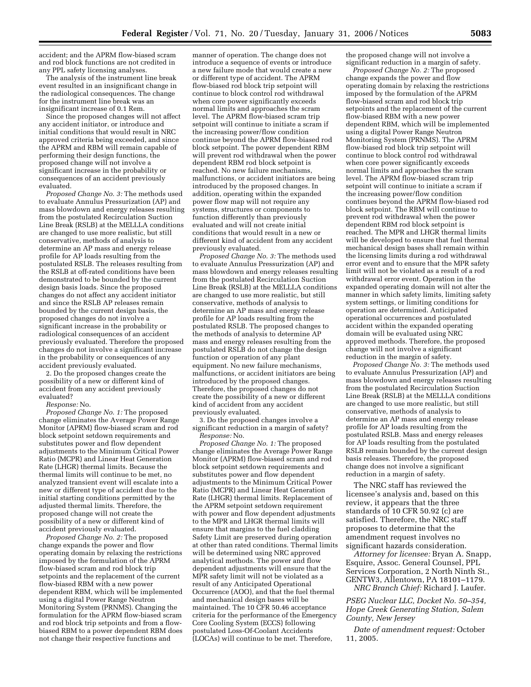accident; and the APRM flow-biased scram and rod block functions are not credited in any PPL safety licensing analyses.

The analysis of the instrument line break event resulted in an insignificant change in the radiological consequences. The change for the instrument line break was an insignificant increase of 0.1 Rem.

Since the proposed changes will not affect any accident initiator, or introduce and initial conditions that would result in NRC approved criteria being exceeded, and since the APRM and RBM will remain capable of performing their design functions, the proposed change will not involve a significant increase in the probability or consequences of an accident previously evaluated.

*Proposed Change No. 3:* The methods used to evaluate Annulus Pressurization (AP) and mass blowdown and energy releases resulting from the postulated Recirculation Suction Line Break (RSLB) at the MELLLA conditions are changed to use more realistic, but still conservative, methods of analysis to determine an AP mass and energy release profile for AP loads resulting from the postulated RSLB. The releases resulting from the RSLB at off-rated conditions have been demonstrated to be bounded by the current design basis loads. Since the proposed changes do not affect any accident initiator and since the RSLB AP releases remain bounded by the current design basis, the proposed changes do not involve a significant increase in the probability or radiological consequences of an accident previously evaluated. Therefore the proposed changes do not involve a significant increase in the probability or consequences of any accident previously evaluated.

2. Do the proposed changes create the possibility of a new or different kind of accident from any accident previously evaluated?

*Response:* No.

*Proposed Change No. 1:* The proposed change eliminates the Average Power Range Monitor (APRM) flow-biased scram and rod block setpoint setdown requirements and substitutes power and flow dependent adjustments to the Minimum Critical Power Ratio (MCPR) and Linear Heat Generation Rate (LHGR) thermal limits. Because the thermal limits will continue to be met, no analyzed transient event will escalate into a new or different type of accident due to the initial starting conditions permitted by the adjusted thermal limits. Therefore, the proposed change will not create the possibility of a new or different kind of accident previously evaluated.

*Proposed Change No. 2:* The proposed change expands the power and flow operating domain by relaxing the restrictions imposed by the formulation of the APRM flow-biased scram and rod block trip setpoints and the replacement of the current flow-biased RBM with a new power dependent RBM, which will be implemented using a digital Power Range Neutron Monitoring System (PRNMS). Changing the formulation for the APRM flow-biased scram and rod block trip setpoints and from a flowbiased RBM to a power dependent RBM does not change their respective functions and

manner of operation. The change does not introduce a sequence of events or introduce a new failure mode that would create a new or different type of accident. The APRM flow-biased rod block trip setpoint will continue to block control rod withdrawal when core power significantly exceeds normal limits and approaches the scram level. The APRM flow-biased scram trip setpoint will continue to initiate a scram if the increasing power/flow condition continue beyond the APRM flow-biased rod block setpoint. The power dependent RBM will prevent rod withdrawal when the power dependent RBM rod block setpoint is reached. No new failure mechanisms, malfunctions, or accident initiators are being introduced by the proposed changes. In addition, operating within the expanded power flow map will not require any systems, structures or components to function differently than previously evaluated and will not create initial conditions that would result in a new or different kind of accident from any accident previously evaluated.

*Proposed Change No. 3:* The methods used to evaluate Annulus Pressurization (AP) and mass blowdown and energy releases resulting from the postulated Recirculation Suction Line Break (RSLB) at the MELLLA conditions are changed to use more realistic, but still conservative, methods of analysis to determine an AP mass and energy release profile for AP loads resulting from the postulated RSLB. The proposed changes to the methods of analysis to determine AP mass and energy releases resulting from the postulated RSLB do not change the design function or operation of any plant equipment. No new failure mechanisms, malfunctions, or accident initiators are being introduced by the proposed changes. Therefore, the proposed changes do not create the possibility of a new or different kind of accident from any accident previously evaluated.

3. Do the proposed changes involve a significant reduction in a margin of safety? *Response:* No.

*Proposed Change No. 1:* The proposed change eliminates the Average Power Range Monitor (APRM) flow-biased scram and rod block setpoint setdown requirements and substitutes power and flow dependent adjustments to the Minimum Critical Power Ratio (MCPR) and Linear Heat Generation Rate (LHGR) thermal limits. Replacement of the APRM setpoint setdown requirement with power and flow dependent adjustments to the MPR and LHGR thermal limits will ensure that margins to the fuel cladding Safety Limit are preserved during operation at other than rated conditions. Thermal limits will be determined using NRC approved analytical methods. The power and flow dependent adjustments will ensure that the MPR safety limit will not be violated as a result of any Anticipated Operational Occurrence (AOO), and that the fuel thermal and mechanical design bases will be maintained. The 10 CFR 50.46 acceptance criteria for the performance of the Emergency Core Cooling System (ECCS) following postulated Loss-Of-Coolant Accidents (LOCAs) will continue to be met. Therefore,

the proposed change will not involve a significant reduction in a margin of safety.

*Proposed Change No. 2:* The proposed change expands the power and flow operating domain by relaxing the restrictions imposed by the formulation of the APRM flow-biased scram and rod block trip setpoints and the replacement of the current flow-biased RBM with a new power dependent RBM, which will be implemented using a digital Power Range Neutron Monitoring System (PRNMS). The APRM flow-biased rod block trip setpoint will continue to block control rod withdrawal when core power significantly exceeds normal limits and approaches the scram level. The APRM flow-biased scram trip setpoint will continue to initiate a scram if the increasing power/flow condition continues beyond the APRM flow-biased rod block setpoint. The RBM will continue to prevent rod withdrawal when the power dependent RBM rod block setpoint is reached. The MPR and LHGR thermal limits will be developed to ensure that fuel thermal mechanical design bases shall remain within the licensing limits during a rod withdrawal error event and to ensure that the MPR safety limit will not be violated as a result of a rod withdrawal error event. Operation in the expanded operating domain will not alter the manner in which safety limits, limiting safety system settings, or limiting conditions for operation are determined. Anticipated operational occurrences and postulated accident within the expanded operating domain will be evaluated using NRC approved methods. Therefore, the proposed change will not involve a significant reduction in the margin of safety.

*Proposed Change No. 3:* The methods used to evaluate Annulus Pressurization (AP) and mass blowdown and energy releases resulting from the postulated Recirculation Suction Line Break (RSLB) at the MELLLA conditions are changed to use more realistic, but still conservative, methods of analysis to determine an AP mass and energy release profile for AP loads resulting from the postulated RSLB. Mass and energy releases for AP loads resulting from the postulated RSLB remain bounded by the current design basis releases. Therefore, the proposed change does not involve a significant reduction in a margin of safety.

The NRC staff has reviewed the licensee's analysis and, based on this review, it appears that the three standards of 10 CFR 50.92 (c) are satisfied. Therefore, the NRC staff proposes to determine that the amendment request involves no significant hazards consideration.

*Attorney for licensee:* Bryan A. Snapp, Esquire, Assoc. General Counsel, PPL Services Corporation, 2 North Ninth St., GENTW3, Allentown, PA 18101–1179. *NRC Branch Chief:* Richard J. Laufer.

*PSEG Nuclear LLC, Docket No. 50–354, Hope Creek Generating Station, Salem County, New Jersey* 

*Date of amendment request:* October 11, 2005.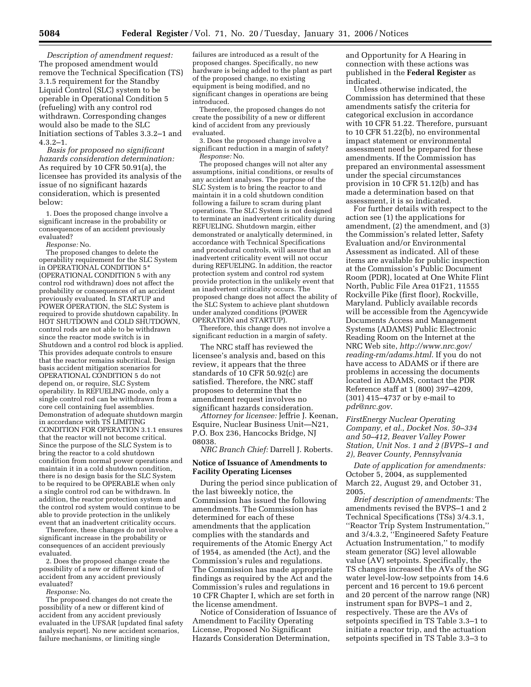*Description of amendment request:*  The proposed amendment would remove the Technical Specification (TS) 3.1.5 requirement for the Standby Liquid Control (SLC) system to be operable in Operational Condition 5 (refueling) with any control rod withdrawn. Corresponding changes would also be made to the SLC Initiation sections of Tables 3.3.2–1 and 4.3.2–1.

*Basis for proposed no significant hazards consideration determination:*  As required by 10 CFR 50.91(a), the licensee has provided its analysis of the issue of no significant hazards consideration, which is presented below:

1. Does the proposed change involve a significant increase in the probability or consequences of an accident previously evaluated?

*Response:* No.

The proposed changes to delete the operability requirement for the SLC System in OPERATIONAL CONDITION 5\* (OPERATIONAL CONDITION 5 with any control rod withdrawn) does not affect the probability or consequences of an accident previously evaluated. In STARTUP and POWER OPERATION, the SLC System is required to provide shutdown capability. In HOT SHUTDOWN and COLD SHUTDOWN, control rods are not able to be withdrawn since the reactor mode switch is in Shutdown and a control rod block is applied. This provides adequate controls to ensure that the reactor remains subcritical. Design basis accident mitigation scenarios for OPERATIONAL CONDITION 5 do not depend on, or require, SLC System operability. In REFUELING mode, only a single control rod can be withdrawn from a core cell containing fuel assemblies. Demonstration of adequate shutdown margin in accordance with TS LIMITING CONDITION FOR OPERATION 3.1.1 ensures that the reactor will not become critical. Since the purpose of the SLC System is to bring the reactor to a cold shutdown condition from normal power operations and maintain it in a cold shutdown condition, there is no design basis for the SLC System to be required to be OPERABLE when only a single control rod can be withdrawn. In addition, the reactor protection system and the control rod system would continue to be able to provide protection in the unlikely event that an inadvertent criticality occurs.

Therefore, these changes do not involve a significant increase in the probability or consequences of an accident previously evaluated.

2. Does the proposed change create the possibility of a new or different kind of accident from any accident previously evaluated?

*Response:* No.

The proposed changes do not create the possibility of a new or different kind of accident from any accident previously evaluated in the UFSAR [updated final safety analysis report]. No new accident scenarios, failure mechanisms, or limiting single

failures are introduced as a result of the proposed changes. Specifically, no new hardware is being added to the plant as part of the proposed change, no existing equipment is being modified, and no significant changes in operations are being introduced.

Therefore, the proposed changes do not create the possibility of a new or different kind of accident from any previously evaluated.

3. Does the proposed change involve a significant reduction in a margin of safety? *Response:* No.

The proposed changes will not alter any assumptions, initial conditions, or results of any accident analyses. The purpose of the SLC System is to bring the reactor to and maintain it in a cold shutdown condition following a failure to scram during plant operations. The SLC System is not designed to terminate an inadvertent criticality during REFUELING. Shutdown margin, either demonstrated or analytically determined, in accordance with Technical Specifications and procedural controls, will assure that an inadvertent criticality event will not occur during REFUELING. In addition, the reactor protection system and control rod system provide protection in the unlikely event that an inadvertent criticality occurs. The proposed change does not affect the ability of the SLC System to achieve plant shutdown under analyzed conditions (POWER OPERATION and STARTUP).

Therefore, this change does not involve a significant reduction in a margin of safety.

The NRC staff has reviewed the licensee's analysis and, based on this review, it appears that the three standards of 10 CFR 50.92(c) are satisfied. Therefore, the NRC staff proposes to determine that the amendment request involves no significant hazards consideration.

*Attorney for licensee:* Jeffrie J. Keenan, Esquire, Nuclear Business Unit—N21, P.O. Box 236, Hancocks Bridge, NJ 08038.

*NRC Branch Chief:* Darrell J. Roberts.

# **Notice of Issuance of Amendments to Facility Operating Licenses**

During the period since publication of the last biweekly notice, the Commission has issued the following amendments. The Commission has determined for each of these amendments that the application complies with the standards and requirements of the Atomic Energy Act of 1954, as amended (the Act), and the Commission's rules and regulations. The Commission has made appropriate findings as required by the Act and the Commission's rules and regulations in 10 CFR Chapter I, which are set forth in the license amendment.

Notice of Consideration of Issuance of Amendment to Facility Operating License, Proposed No Significant Hazards Consideration Determination,

and Opportunity for A Hearing in connection with these actions was published in the **Federal Register** as indicated.

Unless otherwise indicated, the Commission has determined that these amendments satisfy the criteria for categorical exclusion in accordance with 10 CFR 51.22. Therefore, pursuant to 10 CFR 51.22(b), no environmental impact statement or environmental assessment need be prepared for these amendments. If the Commission has prepared an environmental assessment under the special circumstances provision in 10 CFR 51.12(b) and has made a determination based on that assessment, it is so indicated.

For further details with respect to the action see (1) the applications for amendment, (2) the amendment, and (3) the Commission's related letter, Safety Evaluation and/or Environmental Assessment as indicated. All of these items are available for public inspection at the Commission's Public Document Room (PDR), located at One White Flint North, Public File Area 01F21, 11555 Rockville Pike (first floor), Rockville, Maryland. Publicly available records will be accessible from the Agencywide Documents Access and Management Systems (ADAMS) Public Electronic Reading Room on the Internet at the NRC Web site, *http://www.nrc.gov/ reading-rm/adams.html*. If you do not have access to ADAMS or if there are problems in accessing the documents located in ADAMS, contact the PDR Reference staff at 1 (800) 397–4209, (301) 415–4737 or by e-mail to *pdr@nrc.gov*.

*FirstEnergy Nuclear Operating Company, et al., Docket Nos. 50–334 and 50–412, Beaver Valley Power Station, Unit Nos. 1 and 2 (BVPS–1 and 2), Beaver County, Pennsylvania* 

*Date of application for amendments:*  October 5, 2004, as supplemented March 22, August 29, and October 31, 2005.

*Brief description of amendments:* The amendments revised the BVPS–1 and 2 Technical Specifications (TSs) 3/4.3.1, ''Reactor Trip System Instrumentation,'' and 3/4.3.2, ''Engineered Safety Feature Actuation Instrumentation,'' to modify steam generator (SG) level allowable value (AV) setpoints. Specifically, the TS changes increased the AVs of the SG water level-low-low setpoints from 14.6 percent and 16 percent to 19.6 percent and 20 percent of the narrow range (NR) instrument span for BVPS–1 and 2, respectively. These are the AVs of setpoints specified in TS Table 3.3–1 to initiate a reactor trip, and the actuation setpoints specified in TS Table 3.3–3 to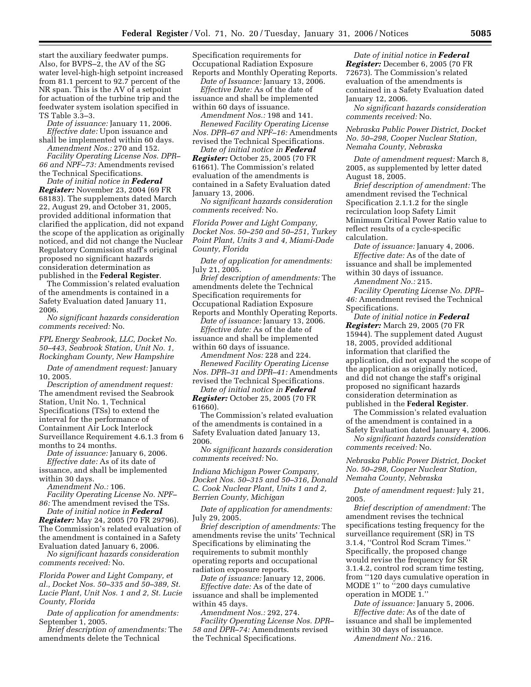start the auxiliary feedwater pumps. Also, for BVPS–2, the AV of the SG water level-high-high setpoint increased from 81.1 percent to 92.7 percent of the NR span. This is the AV of a setpoint for actuation of the turbine trip and the feedwater system isolation specified in TS Table 3.3–3.

*Date of issuance:* January 11, 2006. *Effective date:* Upon issuance and shall be implemented within 60 days. *Amendment Nos.:* 270 and 152.

*Facility Operating License Nos. DPR– 66 and NPF–73:* Amendments revised the Technical Specifications.

*Date of initial notice in Federal Register:* November 23, 2004 (69 FR 68183). The supplements dated March 22, August 29, and October 31, 2005, provided additional information that clarified the application, did not expand the scope of the application as originally noticed, and did not change the Nuclear Regulatory Commission staff's original proposed no significant hazards consideration determination as published in the **Federal Register**.

The Commission's related evaluation of the amendments is contained in a Safety Evaluation dated January 11, 2006.

*No significant hazards consideration comments received:* No.

*FPL Energy Seabrook, LLC, Docket No. 50–443, Seabrook Station, Unit No. 1, Rockingham County, New Hampshire* 

*Date of amendment request:* January 10, 2005.

*Description of amendment request:*  The amendment revised the Seabrook Station, Unit No. 1, Technical Specifications (TSs) to extend the interval for the performance of Containment Air Lock Interlock Surveillance Requirement 4.6.1.3 from 6 months to 24 months.

*Date of issuance:* January 6, 2006. *Effective date:* As of its date of issuance, and shall be implemented within 30 days.

*Amendment No.:* 106.

*Facility Operating License No. NPF– 86:* The amendment revised the TSs.

*Date of initial notice in Federal Register:* May 24, 2005 (70 FR 29796). The Commission's related evaluation of the amendment is contained in a Safety Evaluation dated January 6, 2006.

*No significant hazards consideration comments received:* No.

*Florida Power and Light Company, et al., Docket Nos. 50–335 and 50–389, St. Lucie Plant, Unit Nos. 1 and 2, St. Lucie County, Florida* 

*Date of application for amendments:*  September 1, 2005.

*Brief description of amendments:* The amendments delete the Technical

Specification requirements for Occupational Radiation Exposure Reports and Monthly Operating Reports.

*Date of Issuance:* January 13, 2006. *Effective Date:* As of the date of issuance and shall be implemented within 60 days of issuance.

*Amendment Nos.:* 198 and 141.

*Renewed Facility Operating License Nos. DPR–67 and NPF–16:* Amendments revised the Technical Specifications.

*Date of initial notice in Federal Register:* October 25, 2005 (70 FR 61661). The Commission's related evaluation of the amendments is contained in a Safety Evaluation dated January 13, 2006.

*No significant hazards consideration comments received:* No.

*Florida Power and Light Company, Docket Nos. 50–250 and 50–251, Turkey Point Plant, Units 3 and 4, Miami-Dade County, Florida* 

*Date of application for amendments:*  July 21, 2005.

*Brief description of amendments:* The amendments delete the Technical Specification requirements for Occupational Radiation Exposure

Reports and Monthly Operating Reports. *Date of issuance:* January 13, 2006.

*Effective date:* As of the date of issuance and shall be implemented within 60 days of issuance.

*Amendment Nos:* 228 and 224. *Renewed Facility Operating License Nos. DPR–31 and DPR–41:* Amendments revised the Technical Specifications.

*Date of initial notice in Federal Register:* October 25, 2005 (70 FR 61660).

The Commission's related evaluation of the amendments is contained in a Safety Evaluation dated January 13, 2006.

*No significant hazards consideration comments received:* No.

*Indiana Michigan Power Company, Docket Nos. 50–315 and 50–316, Donald C. Cook Nuclear Plant, Units 1 and 2, Berrien County, Michigan* 

*Date of application for amendments:*  July 29, 2005.

*Brief description of amendments:* The amendments revise the units' Technical Specifications by eliminating the requirements to submit monthly operating reports and occupational radiation exposure reports.

*Date of issuance:* January 12, 2006. *Effective date:* As of the date of issuance and shall be implemented within 45 days.

*Amendment Nos.:* 292, 274.

*Facility Operating License Nos. DPR– 58 and DPR–74:* Amendments revised the Technical Specifications.

*Date of initial notice in Federal Register:* December 6, 2005 (70 FR 72673). The Commission's related evaluation of the amendments is contained in a Safety Evaluation dated January 12, 2006.

*No significant hazards consideration comments received:* No.

*Nebraska Public Power District, Docket No. 50–298, Cooper Nuclear Station, Nemaha County, Nebraska* 

*Date of amendment request:* March 8, 2005, as supplemented by letter dated August 18, 2005.

*Brief description of amendment:* The amendment revised the Technical Specification 2.1.1.2 for the single recirculation loop Safety Limit Minimum Critical Power Ratio value to reflect results of a cycle-specific calculation.

*Date of issuance:* January 4, 2006. *Effective date:* As of the date of issuance and shall be implemented within 30 days of issuance.

*Amendment No.:* 215.

*Facility Operating License No. DPR– 46:* Amendment revised the Technical Specifications.

*Date of initial notice in Federal Register:* March 29, 2005 (70 FR 15944). The supplement dated August 18, 2005, provided additional information that clarified the application, did not expand the scope of the application as originally noticed, and did not change the staff's original proposed no significant hazards consideration determination as published in the **Federal Register**.

The Commission's related evaluation of the amendment is contained in a Safety Evaluation dated January 4, 2006.

*No significant hazards consideration comments received:* No.

*Nebraska Public Power District, Docket No. 50–298, Cooper Nuclear Station, Nemaha County, Nebraska* 

*Date of amendment request:* July 21, 2005.

*Brief description of amendment:* The amendment revises the technical specifications testing frequency for the surveillance requirement (SR) in TS 3.1.4, ''Control Rod Scram Times.'' Specifically, the proposed change would revise the frequency for SR 3.1.4.2, control rod scram time testing, from ''120 days cumulative operation in MODE 1'' to ''200 days cumulative operation in MODE 1.''

*Date of issuance:* January 5, 2006. *Effective date:* As of the date of issuance and shall be implemented within 30 days of issuance. *Amendment No.:* 216.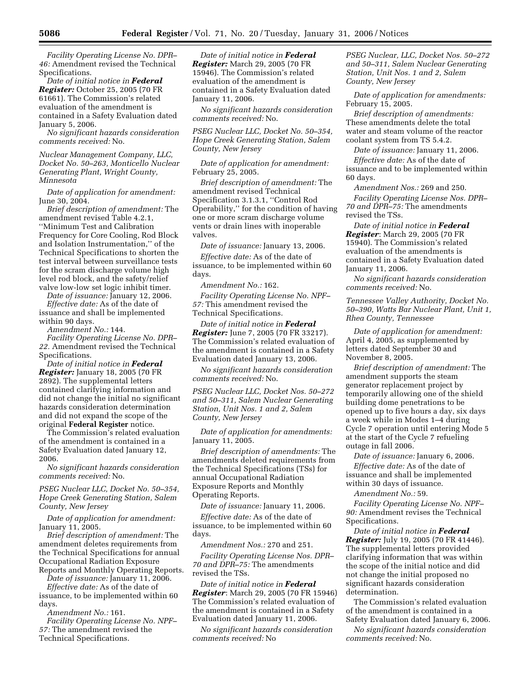*Facility Operating License No. DPR– 46:* Amendment revised the Technical Specifications.

*Date of initial notice in Federal Register:* October 25, 2005 (70 FR 61661). The Commission's related evaluation of the amendment is contained in a Safety Evaluation dated January 5, 2006.

*No significant hazards consideration comments received:* No.

*Nuclear Management Company, LLC, Docket No. 50–263, Monticello Nuclear Generating Plant, Wright County, Minnesota* 

*Date of application for amendment:*  June 30, 2004.

*Brief description of amendment:* The amendment revised Table 4.2.1, ''Minimum Test and Calibration Frequency for Core Cooling, Rod Block and Isolation Instrumentation,'' of the Technical Specifications to shorten the test interval between surveillance tests for the scram discharge volume high level rod block, and the safety/relief valve low-low set logic inhibit timer.

*Date of issuance:* January 12, 2006. *Effective date:* As of the date of issuance and shall be implemented within 90 days.

*Amendment No.:* 144.

*Facility Operating License No. DPR– 22.* Amendment revised the Technical Specifications.

*Date of initial notice in Federal Register:* January 18, 2005 (70 FR 2892). The supplemental letters contained clarifying information and did not change the initial no significant hazards consideration determination and did not expand the scope of the original **Federal Register** notice.

The Commission's related evaluation of the amendment is contained in a Safety Evaluation dated January 12, 2006.

*No significant hazards consideration comments received:* No.

*PSEG Nuclear LLC, Docket No. 50–354, Hope Creek Generating Station, Salem County, New Jersey* 

*Date of application for amendment:*  January 11, 2005.

*Brief description of amendment:* The amendment deletes requirements from the Technical Specifications for annual Occupational Radiation Exposure Reports and Monthly Operating Reports.

*Date of issuance:* January 11, 2006.

*Effective date:* As of the date of issuance, to be implemented within 60 days.

*Amendment No.:* 161.

*Facility Operating License No. NPF– 57:* The amendment revised the Technical Specifications.

*Date of initial notice in Federal Register:* March 29, 2005 (70 FR 15946). The Commission's related evaluation of the amendment is contained in a Safety Evaluation dated January 11, 2006.

*No significant hazards consideration comments received:* No.

*PSEG Nuclear LLC, Docket No. 50–354, Hope Creek Generating Station, Salem County, New Jersey* 

*Date of application for amendment:*  February 25, 2005.

*Brief description of amendment:* The amendment revised Technical Specification 3.1.3.1, ''Control Rod Operability,'' for the condition of having one or more scram discharge volume vents or drain lines with inoperable valves.

*Date of issuance:* January 13, 2006.

*Effective date:* As of the date of issuance, to be implemented within 60 days.

*Amendment No.:* 162.

*Facility Operating License No. NPF– 57:* This amendment revised the Technical Specifications.

*Date of initial notice in Federal Register:* June 7, 2005 (70 FR 33217). The Commission's related evaluation of the amendment is contained in a Safety Evaluation dated January 13, 2006.

*No significant hazards consideration comments received:* No.

*PSEG Nuclear LLC, Docket Nos. 50–272 and 50–311, Salem Nuclear Generating Station, Unit Nos. 1 and 2, Salem County, New Jersey* 

*Date of application for amendments:*  January 11, 2005.

*Brief description of amendments:* The amendments deleted requirements from the Technical Specifications (TSs) for annual Occupational Radiation Exposure Reports and Monthly Operating Reports.

*Date of issuance:* January 11, 2006.

*Effective date:* As of the date of issuance, to be implemented within 60 days.

*Amendment Nos.:* 270 and 251.

*Facility Operating License Nos. DPR– 70 and DPR–75:* The amendments revised the TSs.

*Date of initial notice in Federal Register*: March 29, 2005 (70 FR 15946) The Commission's related evaluation of the amendment is contained in a Safety Evaluation dated January 11, 2006.

*No significant hazards consideration comments received:* No

*PSEG Nuclear, LLC, Docket Nos. 50–272 and 50–311, Salem Nuclear Generating Station, Unit Nos. 1 and 2, Salem County, New Jersey* 

*Date of application for amendments:*  February 15, 2005.

*Brief description of amendments:*  These amendments delete the total water and steam volume of the reactor coolant system from TS 5.4.2.

*Date of issuance:* January 11, 2006.

*Effective date:* As of the date of issuance and to be implemented within 60 days.

*Amendment Nos.:* 269 and 250. *Facility Operating License Nos. DPR– 70 and DPR–75:* The amendments revised the TSs.

*Date of initial notice in Federal Register*: March 29, 2005 (70 FR 15940). The Commission's related evaluation of the amendments is contained in a Safety Evaluation dated January 11, 2006.

*No significant hazards consideration comments received:* No.

*Tennessee Valley Authority, Docket No. 50–390, Watts Bar Nuclear Plant, Unit 1, Rhea County, Tennessee* 

*Date of application for amendment:*  April 4, 2005, as supplemented by letters dated September 30 and November 8, 2005.

*Brief description of amendment:* The amendment supports the steam generator replacement project by temporarily allowing one of the shield building dome penetrations to be opened up to five hours a day, six days a week while in Modes 1–4 during Cycle 7 operation until entering Mode 5 at the start of the Cycle 7 refueling outage in fall 2006.

*Date of issuance:* January 6, 2006.

*Effective date:* As of the date of issuance and shall be implemented within 30 days of issuance.

*Amendment No.:* 59.

*Facility Operating License No. NPF– 90:* Amendment revises the Technical Specifications.

*Date of initial notice in Federal Register:* July 19, 2005 (70 FR 41446). The supplemental letters provided clarifying information that was within the scope of the initial notice and did not change the initial proposed no significant hazards consideration determination.

The Commission's related evaluation of the amendment is contained in a Safety Evaluation dated January 6, 2006.

*No significant hazards consideration comments received:* No.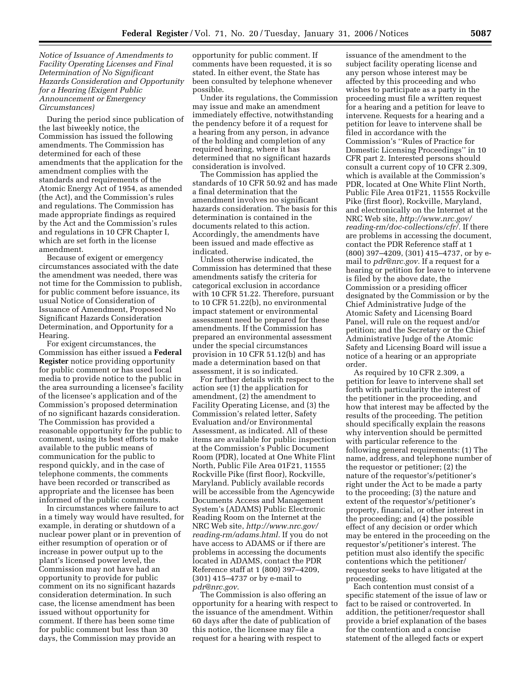*Notice of Issuance of Amendments to Facility Operating Licenses and Final Determination of No Significant Hazards Consideration and Opportunity for a Hearing (Exigent Public Announcement or Emergency Circumstances)* 

During the period since publication of the last biweekly notice, the Commission has issued the following amendments. The Commission has determined for each of these amendments that the application for the amendment complies with the standards and requirements of the Atomic Energy Act of 1954, as amended (the Act), and the Commission's rules and regulations. The Commission has made appropriate findings as required by the Act and the Commission's rules and regulations in 10 CFR Chapter I, which are set forth in the license amendment.

Because of exigent or emergency circumstances associated with the date the amendment was needed, there was not time for the Commission to publish, for public comment before issuance, its usual Notice of Consideration of Issuance of Amendment, Proposed No Significant Hazards Consideration Determination, and Opportunity for a Hearing.

For exigent circumstances, the Commission has either issued a **Federal Register** notice providing opportunity for public comment or has used local media to provide notice to the public in the area surrounding a licensee's facility of the licensee's application and of the Commission's proposed determination of no significant hazards consideration. The Commission has provided a reasonable opportunity for the public to comment, using its best efforts to make available to the public means of communication for the public to respond quickly, and in the case of telephone comments, the comments have been recorded or transcribed as appropriate and the licensee has been informed of the public comments.

In circumstances where failure to act in a timely way would have resulted, for example, in derating or shutdown of a nuclear power plant or in prevention of either resumption of operation or of increase in power output up to the plant's licensed power level, the Commission may not have had an opportunity to provide for public comment on its no significant hazards consideration determination. In such case, the license amendment has been issued without opportunity for comment. If there has been some time for public comment but less than 30 days, the Commission may provide an

opportunity for public comment. If comments have been requested, it is so stated. In either event, the State has been consulted by telephone whenever possible.

Under its regulations, the Commission may issue and make an amendment immediately effective, notwithstanding the pendency before it of a request for a hearing from any person, in advance of the holding and completion of any required hearing, where it has determined that no significant hazards consideration is involved.

The Commission has applied the standards of 10 CFR 50.92 and has made a final determination that the amendment involves no significant hazards consideration. The basis for this determination is contained in the documents related to this action. Accordingly, the amendments have been issued and made effective as indicated.

Unless otherwise indicated, the Commission has determined that these amendments satisfy the criteria for categorical exclusion in accordance with 10 CFR 51.22. Therefore, pursuant to 10 CFR 51.22(b), no environmental impact statement or environmental assessment need be prepared for these amendments. If the Commission has prepared an environmental assessment under the special circumstances provision in 10 CFR 51.12(b) and has made a determination based on that assessment, it is so indicated.

For further details with respect to the action see (1) the application for amendment, (2) the amendment to Facility Operating License, and (3) the Commission's related letter, Safety Evaluation and/or Environmental Assessment, as indicated. All of these items are available for public inspection at the Commission's Public Document Room (PDR), located at One White Flint North, Public File Area 01F21, 11555 Rockville Pike (first floor), Rockville, Maryland. Publicly available records will be accessible from the Agencywide Documents Access and Management System's (ADAMS) Public Electronic Reading Room on the Internet at the NRC Web site, *http://www.nrc.gov/ reading-rm/adams.html.* If you do not have access to ADAMS or if there are problems in accessing the documents located in ADAMS, contact the PDR Reference staff at 1 (800) 397–4209, (301) 415–4737 or by e-mail to *pdr@nrc.gov*.

The Commission is also offering an opportunity for a hearing with respect to the issuance of the amendment. Within 60 days after the date of publication of this notice, the licensee may file a request for a hearing with respect to

issuance of the amendment to the subject facility operating license and any person whose interest may be affected by this proceeding and who wishes to participate as a party in the proceeding must file a written request for a hearing and a petition for leave to intervene. Requests for a hearing and a petition for leave to intervene shall be filed in accordance with the Commission's ''Rules of Practice for Domestic Licensing Proceedings'' in 10 CFR part 2. Interested persons should consult a current copy of 10 CFR 2.309, which is available at the Commission's PDR, located at One White Flint North, Public File Area 01F21, 11555 Rockville Pike (first floor), Rockville, Maryland, and electronically on the Internet at the NRC Web site, *http://www.nrc.gov/ reading-rm/doc-collections/cfr/.* If there are problems in accessing the document, contact the PDR Reference staff at 1 (800) 397–4209, (301) 415–4737, or by email to *pdr@nrc.gov.* If a request for a hearing or petition for leave to intervene is filed by the above date, the Commission or a presiding officer designated by the Commission or by the Chief Administrative Judge of the Atomic Safety and Licensing Board Panel, will rule on the request and/or petition; and the Secretary or the Chief Administrative Judge of the Atomic Safety and Licensing Board will issue a notice of a hearing or an appropriate order.

As required by 10 CFR 2.309, a petition for leave to intervene shall set forth with particularity the interest of the petitioner in the proceeding, and how that interest may be affected by the results of the proceeding. The petition should specifically explain the reasons why intervention should be permitted with particular reference to the following general requirements: (1) The name, address, and telephone number of the requestor or petitioner; (2) the nature of the requestor's/petitioner's right under the Act to be made a party to the proceeding; (3) the nature and extent of the requestor's/petitioner's property, financial, or other interest in the proceeding; and (4) the possible effect of any decision or order which may be entered in the proceeding on the requestor's/petitioner's interest. The petition must also identify the specific contentions which the petitioner/ requestor seeks to have litigated at the proceeding.

Each contention must consist of a specific statement of the issue of law or fact to be raised or controverted. In addition, the petitioner/requestor shall provide a brief explanation of the bases for the contention and a concise statement of the alleged facts or expert